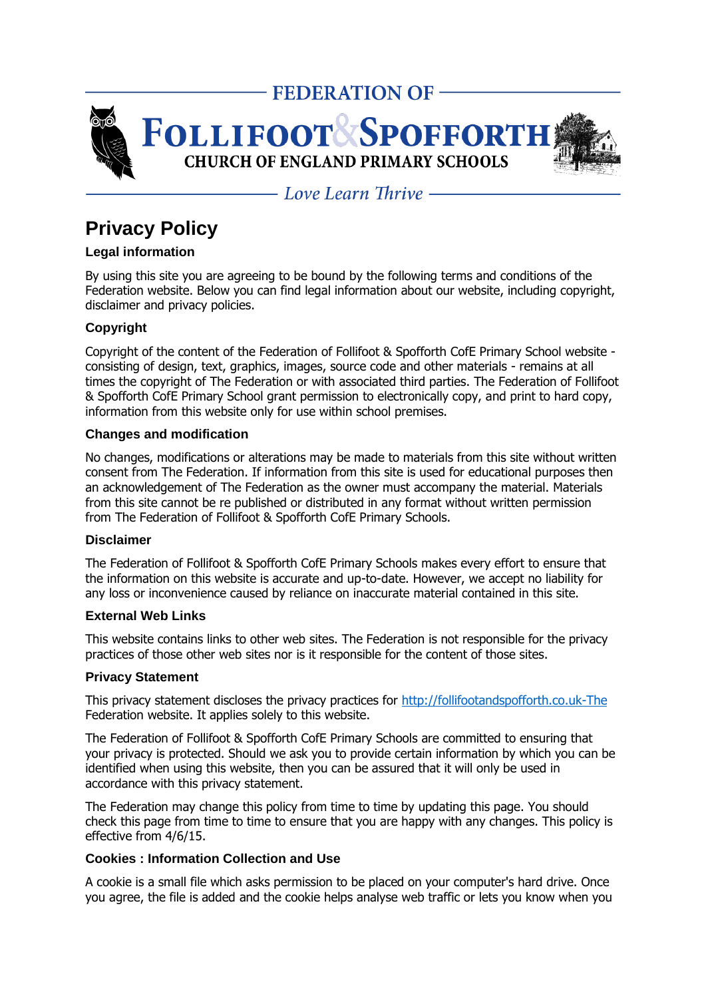

 $-$  Love Learn Thrive  $-$ 

# **Privacy Policy**

# **Legal information**

By using this site you are agreeing to be bound by the following terms and conditions of the Federation website. Below you can find legal information about our website, including copyright, disclaimer and privacy policies.

# **Copyright**

Copyright of the content of the Federation of Follifoot & Spofforth CofE Primary School website consisting of design, text, graphics, images, source code and other materials - remains at all times the copyright of The Federation or with associated third parties. The Federation of Follifoot & Spofforth CofE Primary School grant permission to electronically copy, and print to hard copy, information from this website only for use within school premises.

### **Changes and modification**

No changes, modifications or alterations may be made to materials from this site without written consent from The Federation. If information from this site is used for educational purposes then an acknowledgement of The Federation as the owner must accompany the material. Materials from this site cannot be re published or distributed in any format without written permission from The Federation of Follifoot & Spofforth CofE Primary Schools.

#### **Disclaimer**

The Federation of Follifoot & Spofforth CofE Primary Schools makes every effort to ensure that the information on this website is accurate and up-to-date. However, we accept no liability for any loss or inconvenience caused by reliance on inaccurate material contained in this site.

## **External Web Links**

This website contains links to other web sites. The Federation is not responsible for the privacy practices of those other web sites nor is it responsible for the content of those sites.

## **Privacy Statement**

This privacy statement discloses the privacy practices for [http://follifootandspofforth.co.uk-The](http://follifootandspofforth.co.uk-the/) Federation website. It applies solely to this website.

The Federation of Follifoot & Spofforth CofE Primary Schools are committed to ensuring that your privacy is protected. Should we ask you to provide certain information by which you can be identified when using this website, then you can be assured that it will only be used in accordance with this privacy statement.

The Federation may change this policy from time to time by updating this page. You should check this page from time to time to ensure that you are happy with any changes. This policy is effective from 4/6/15.

## **Cookies : Information Collection and Use**

A cookie is a small file which asks permission to be placed on your computer's hard drive. Once you agree, the file is added and the cookie helps analyse web traffic or lets you know when you